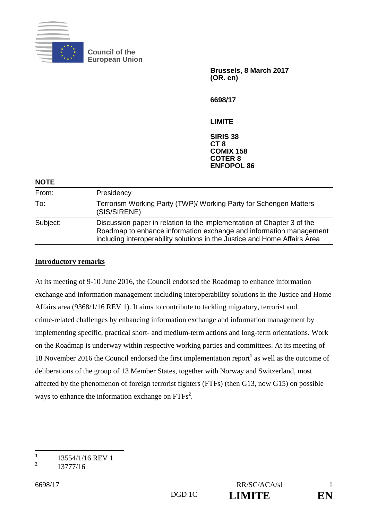

**Council of the European Union** 

> **Brussels, 8 March 2017 (OR. en)**

**6698/17** 

**LIMITE** 

**SIRIS 38 CT 8 COMIX 158 COTER 8 ENFOPOL 86** 

| <b>NOTE</b> |                                                                                                                                                                                                                           |
|-------------|---------------------------------------------------------------------------------------------------------------------------------------------------------------------------------------------------------------------------|
| From:       | Presidency                                                                                                                                                                                                                |
| To:         | Terrorism Working Party (TWP)/ Working Party for Schengen Matters<br>(SIS/SIRENE)                                                                                                                                         |
| Subject:    | Discussion paper in relation to the implementation of Chapter 3 of the<br>Roadmap to enhance information exchange and information management<br>including interoperability solutions in the Justice and Home Affairs Area |

#### **Introductory remarks**

At its meeting of 9-10 June 2016, the Council endorsed the Roadmap to enhance information exchange and information management including interoperability solutions in the Justice and Home Affairs area (9368/1/16 REV 1). It aims to contribute to tackling migratory, terrorist and crime-related challenges by enhancing information exchange and information management by implementing specific, practical short- and medium-term actions and long-term orientations. Work on the Roadmap is underway within respective working parties and committees. At its meeting of 18 November 2016 the Council endorsed the first implementation report<sup>1</sup> as well as the outcome of deliberations of the group of 13 Member States, together with Norway and Switzerland, most affected by the phenomenon of foreign terrorist fighters (FTFs) (then G13, now G15) on possible ways to enhance the information exchange on FTFs**<sup>2</sup>** .

 **1** 13554/1/16 REV 1

**<sup>2</sup>** 13777/16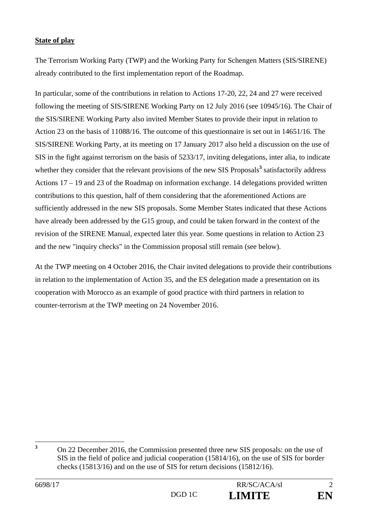### **State of play**

The Terrorism Working Party (TWP) and the Working Party for Schengen Matters (SIS/SIRENE) already contributed to the first implementation report of the Roadmap.

In particular, some of the contributions in relation to Actions 17-20, 22, 24 and 27 were received following the meeting of SIS/SIRENE Working Party on 12 July 2016 (see 10945/16). The Chair of the SIS/SIRENE Working Party also invited Member States to provide their input in relation to Action 23 on the basis of 11088/16. The outcome of this questionnaire is set out in 14651/16. The SIS/SIRENE Working Party, at its meeting on 17 January 2017 also held a discussion on the use of SIS in the fight against terrorism on the basis of 5233/17, inviting delegations, inter alia, to indicate whether they consider that the relevant provisions of the new SIS Proposals<sup>3</sup> satisfactorily address Actions 17 – 19 and 23 of the Roadmap on information exchange. 14 delegations provided written contributions to this question, half of them considering that the aforementioned Actions are sufficiently addressed in the new SIS proposals. Some Member States indicated that these Actions have already been addressed by the G15 group, and could be taken forward in the context of the revision of the SIRENE Manual, expected later this year. Some questions in relation to Action 23 and the new "inquiry checks" in the Commission proposal still remain (see below).

At the TWP meeting on 4 October 2016, the Chair invited delegations to provide their contributions in relation to the implementation of Action 35, and the ES delegation made a presentation on its cooperation with Morocco as an example of good practice with third partners in relation to counter-terrorism at the TWP meeting on 24 November 2016.

 **3** On 22 December 2016, the Commission presented three new SIS proposals: on the use of SIS in the field of police and judicial cooperation (15814/16), on the use of SIS for border checks (15813/16) and on the use of SIS for return decisions (15812/16).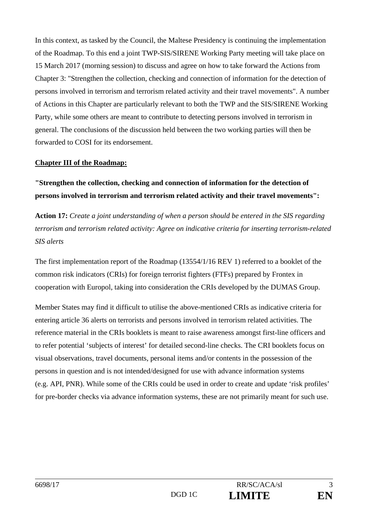In this context, as tasked by the Council, the Maltese Presidency is continuing the implementation of the Roadmap. To this end a joint TWP-SIS/SIRENE Working Party meeting will take place on 15 March 2017 (morning session) to discuss and agree on how to take forward the Actions from Chapter 3: "Strengthen the collection, checking and connection of information for the detection of persons involved in terrorism and terrorism related activity and their travel movements". A number of Actions in this Chapter are particularly relevant to both the TWP and the SIS/SIRENE Working Party, while some others are meant to contribute to detecting persons involved in terrorism in general. The conclusions of the discussion held between the two working parties will then be forwarded to COSI for its endorsement.

#### **Chapter III of the Roadmap:**

**"Strengthen the collection, checking and connection of information for the detection of persons involved in terrorism and terrorism related activity and their travel movements":** 

**Action 17:** *Create a joint understanding of when a person should be entered in the SIS regarding terrorism and terrorism related activity: Agree on indicative criteria for inserting terrorism-related SIS alerts* 

The first implementation report of the Roadmap (13554/1/16 REV 1) referred to a booklet of the common risk indicators (CRIs) for foreign terrorist fighters (FTFs) prepared by Frontex in cooperation with Europol, taking into consideration the CRIs developed by the DUMAS Group.

Member States may find it difficult to utilise the above-mentioned CRIs as indicative criteria for entering article 36 alerts on terrorists and persons involved in terrorism related activities. The reference material in the CRIs booklets is meant to raise awareness amongst first-line officers and to refer potential 'subjects of interest' for detailed second-line checks. The CRI booklets focus on visual observations, travel documents, personal items and/or contents in the possession of the persons in question and is not intended/designed for use with advance information systems (e.g. API, PNR). While some of the CRIs could be used in order to create and update 'risk profiles' for pre-border checks via advance information systems, these are not primarily meant for such use.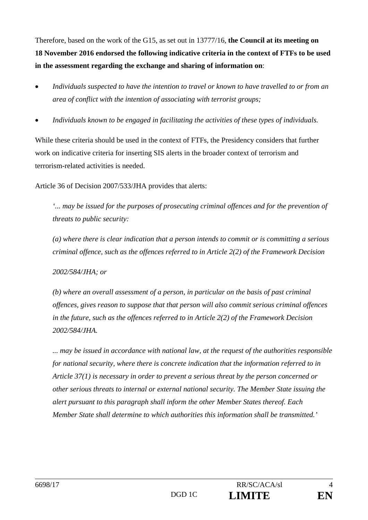Therefore, based on the work of the G15, as set out in 13777/16, **the Council at its meeting on 18 November 2016 endorsed the following indicative criteria in the context of FTFs to be used in the assessment regarding the exchange and sharing of information on**:

- *Individuals suspected to have the intention to travel or known to have travelled to or from an area of conflict with the intention of associating with terrorist groups;*
- *Individuals known to be engaged in facilitating the activities of these types of individuals.*

While these criteria should be used in the context of FTFs, the Presidency considers that further work on indicative criteria for inserting SIS alerts in the broader context of terrorism and terrorism-related activities is needed.

Article 36 of Decision 2007/533/JHA provides that alerts:

*'... may be issued for the purposes of prosecuting criminal offences and for the prevention of threats to public security:* 

*(a) where there is clear indication that a person intends to commit or is committing a serious criminal offence, such as the offences referred to in Article 2(2) of the Framework Decision* 

### *2002/584/JHA; or*

*(b) where an overall assessment of a person, in particular on the basis of past criminal offences, gives reason to suppose that that person will also commit serious criminal offences in the future, such as the offences referred to in Article 2(2) of the Framework Decision 2002/584/JHA.* 

*... may be issued in accordance with national law, at the request of the authorities responsible for national security, where there is concrete indication that the information referred to in Article 37(1) is necessary in order to prevent a serious threat by the person concerned or other serious threats to internal or external national security. The Member State issuing the alert pursuant to this paragraph shall inform the other Member States thereof. Each Member State shall determine to which authorities this information shall be transmitted.'*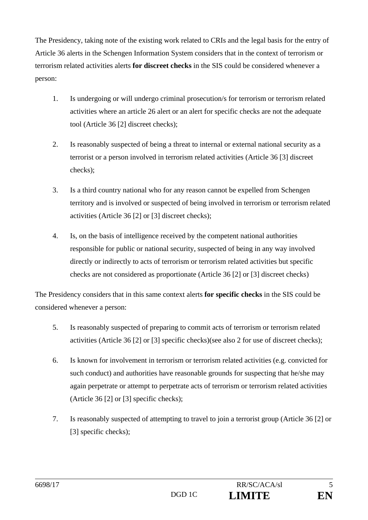The Presidency, taking note of the existing work related to CRIs and the legal basis for the entry of Article 36 alerts in the Schengen Information System considers that in the context of terrorism or terrorism related activities alerts **for discreet checks** in the SIS could be considered whenever a person:

- 1. Is undergoing or will undergo criminal prosecution/s for terrorism or terrorism related activities where an article 26 alert or an alert for specific checks are not the adequate tool (Article 36 [2] discreet checks);
- 2. Is reasonably suspected of being a threat to internal or external national security as a terrorist or a person involved in terrorism related activities (Article 36 [3] discreet checks);
- 3. Is a third country national who for any reason cannot be expelled from Schengen territory and is involved or suspected of being involved in terrorism or terrorism related activities (Article 36 [2] or [3] discreet checks);
- 4. Is, on the basis of intelligence received by the competent national authorities responsible for public or national security, suspected of being in any way involved directly or indirectly to acts of terrorism or terrorism related activities but specific checks are not considered as proportionate (Article 36 [2] or [3] discreet checks)

The Presidency considers that in this same context alerts **for specific checks** in the SIS could be considered whenever a person:

- 5. Is reasonably suspected of preparing to commit acts of terrorism or terrorism related activities (Article 36 [2] or [3] specific checks)(see also 2 for use of discreet checks);
- 6. Is known for involvement in terrorism or terrorism related activities (e.g. convicted for such conduct) and authorities have reasonable grounds for suspecting that he/she may again perpetrate or attempt to perpetrate acts of terrorism or terrorism related activities (Article 36 [2] or [3] specific checks);
- 7. Is reasonably suspected of attempting to travel to join a terrorist group (Article 36 [2] or [3] specific checks):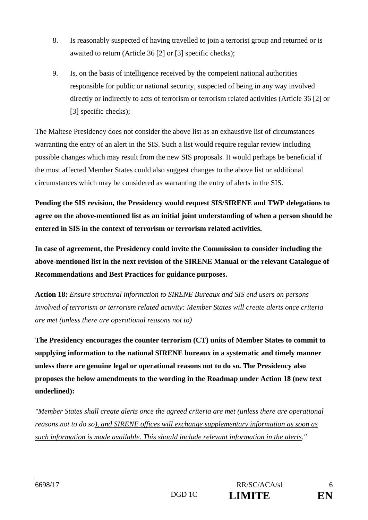- 8. Is reasonably suspected of having travelled to join a terrorist group and returned or is awaited to return (Article 36 [2] or [3] specific checks);
- 9. Is, on the basis of intelligence received by the competent national authorities responsible for public or national security, suspected of being in any way involved directly or indirectly to acts of terrorism or terrorism related activities (Article 36 [2] or [3] specific checks);

The Maltese Presidency does not consider the above list as an exhaustive list of circumstances warranting the entry of an alert in the SIS. Such a list would require regular review including possible changes which may result from the new SIS proposals. It would perhaps be beneficial if the most affected Member States could also suggest changes to the above list or additional circumstances which may be considered as warranting the entry of alerts in the SIS.

**Pending the SIS revision, the Presidency would request SIS/SIRENE and TWP delegations to agree on the above-mentioned list as an initial joint understanding of when a person should be entered in SIS in the context of terrorism or terrorism related activities.** 

**In case of agreement, the Presidency could invite the Commission to consider including the above-mentioned list in the next revision of the SIRENE Manual or the relevant Catalogue of Recommendations and Best Practices for guidance purposes.**

**Action 18:** *Ensure structural information to SIRENE Bureaux and SIS end users on persons involved of terrorism or terrorism related activity: Member States will create alerts once criteria are met (unless there are operational reasons not to)* 

**The Presidency encourages the counter terrorism (CT) units of Member States to commit to supplying information to the national SIRENE bureaux in a systematic and timely manner unless there are genuine legal or operational reasons not to do so. The Presidency also proposes the below amendments to the wording in the Roadmap under Action 18 (new text underlined):** 

*"Member States shall create alerts once the agreed criteria are met (unless there are operational reasons not to do so), and SIRENE offices will exchange supplementary information as soon as such information is made available. This should include relevant information in the alerts."*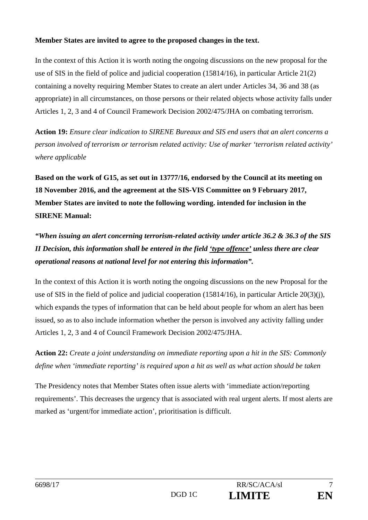### **Member States are invited to agree to the proposed changes in the text.**

In the context of this Action it is worth noting the ongoing discussions on the new proposal for the use of SIS in the field of police and judicial cooperation (15814/16), in particular Article 21(2) containing a novelty requiring Member States to create an alert under Articles 34, 36 and 38 (as appropriate) in all circumstances, on those persons or their related objects whose activity falls under Articles 1, 2, 3 and 4 of Council Framework Decision 2002/475/JHA on combating terrorism.

**Action 19:** *Ensure clear indication to SIRENE Bureaux and SIS end users that an alert concerns a person involved of terrorism or terrorism related activity: Use of marker 'terrorism related activity' where applicable* 

**Based on the work of G15, as set out in 13777/16, endorsed by the Council at its meeting on 18 November 2016, and the agreement at the SIS-VIS Committee on 9 February 2017, Member States are invited to note the following wording. intended for inclusion in the SIRENE Manual:** 

*"When issuing an alert concerning terrorism-related activity under article 36.2 & 36.3 of the SIS II Decision, this information shall be entered in the field 'type offence' unless there are clear operational reasons at national level for not entering this information".* 

In the context of this Action it is worth noting the ongoing discussions on the new Proposal for the use of SIS in the field of police and judicial cooperation (15814/16), in particular Article 20(3)(j), which expands the types of information that can be held about people for whom an alert has been issued, so as to also include information whether the person is involved any activity falling under Articles 1, 2, 3 and 4 of Council Framework Decision 2002/475/JHA.

**Action 22:** *Create a joint understanding on immediate reporting upon a hit in the SIS: Commonly define when 'immediate reporting' is required upon a hit as well as what action should be taken* 

The Presidency notes that Member States often issue alerts with 'immediate action/reporting requirements'. This decreases the urgency that is associated with real urgent alerts. If most alerts are marked as 'urgent/for immediate action', prioritisation is difficult.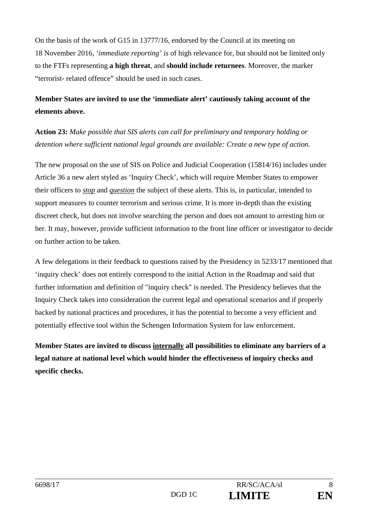On the basis of the work of G15 in 13777/16, endorsed by the Council at its meeting on 18 November 2016, *'immediate reporting' is* of high relevance for, but should not be limited only to the FTFs representing **a high threat**, and **should include returnees**. Moreover, the marker "terrorist- related offence" should be used in such cases.

## **Member States are invited to use the 'immediate alert' cautiously taking account of the elements above.**

**Action 23:** *Make possible that SIS alerts can call for preliminary and temporary holding or detention where sufficient national legal grounds are available: Create a new type of action*.

The new proposal on the use of SIS on Police and Judicial Cooperation (15814/16) includes under Article 36 a new alert styled as 'Inquiry Check', which will require Member States to empower their officers to *stop* and *question* the subject of these alerts. This is, in particular, intended to support measures to counter terrorism and serious crime. It is more in-depth than the existing discreet check, but does not involve searching the person and does not amount to arresting him or her. It may, however, provide sufficient information to the front line officer or investigator to decide on further action to be taken.

A few delegations in their feedback to questions raised by the Presidency in 5233/17 mentioned that 'inquiry check' does not entirely correspond to the initial Action in the Roadmap and said that further information and definition of "inquiry check" is needed. The Presidency believes that the Inquiry Check takes into consideration the current legal and operational scenarios and if properly backed by national practices and procedures, it has the potential to become a very efficient and potentially effective tool within the Schengen Information System for law enforcement.

**Member States are invited to discuss internally all possibilities to eliminate any barriers of a legal nature at national level which would hinder the effectiveness of inquiry checks and specific checks.**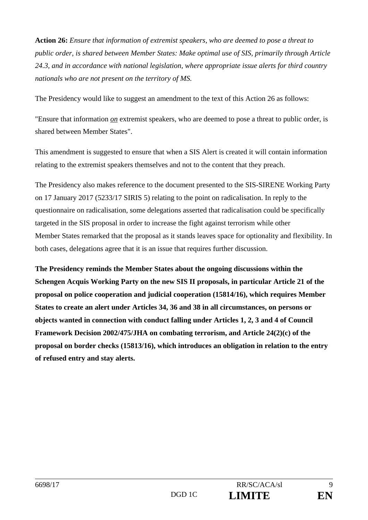**Action 26:** *Ensure that information of extremist speakers, who are deemed to pose a threat to public order, is shared between Member States: Make optimal use of SIS, primarily through Article 24.3, and in accordance with national legislation, where appropriate issue alerts for third country nationals who are not present on the territory of MS.* 

The Presidency would like to suggest an amendment to the text of this Action 26 as follows:

"Ensure that information *on* extremist speakers, who are deemed to pose a threat to public order, is shared between Member States".

This amendment is suggested to ensure that when a SIS Alert is created it will contain information relating to the extremist speakers themselves and not to the content that they preach.

The Presidency also makes reference to the document presented to the SIS-SIRENE Working Party on 17 January 2017 (5233/17 SIRIS 5) relating to the point on radicalisation. In reply to the questionnaire on radicalisation, some delegations asserted that radicalisation could be specifically targeted in the SIS proposal in order to increase the fight against terrorism while other Member States remarked that the proposal as it stands leaves space for optionality and flexibility. In both cases, delegations agree that it is an issue that requires further discussion.

**The Presidency reminds the Member States about the ongoing discussions within the Schengen Acquis Working Party on the new SIS II proposals, in particular Article 21 of the proposal on police cooperation and judicial cooperation (15814/16), which requires Member States to create an alert under Articles 34, 36 and 38 in all circumstances, on persons or objects wanted in connection with conduct falling under Articles 1, 2, 3 and 4 of Council Framework Decision 2002/475/JHA on combating terrorism, and Article 24(2)(c) of the proposal on border checks (15813/16), which introduces an obligation in relation to the entry of refused entry and stay alerts.**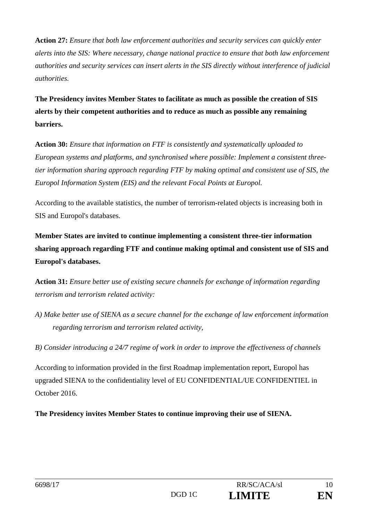**Action 27:** *Ensure that both law enforcement authorities and security services can quickly enter alerts into the SIS: Where necessary, change national practice to ensure that both law enforcement authorities and security services can insert alerts in the SIS directly without interference of judicial authorities.* 

**The Presidency invites Member States to facilitate as much as possible the creation of SIS alerts by their competent authorities and to reduce as much as possible any remaining barriers.** 

**Action 30:** *Ensure that information on FTF is consistently and systematically uploaded to European systems and platforms, and synchronised where possible: Implement a consistent threetier information sharing approach regarding FTF by making optimal and consistent use of SIS, the Europol Information System (EIS) and the relevant Focal Points at Europol.* 

According to the available statistics, the number of terrorism-related objects is increasing both in SIS and Europol's databases.

**Member States are invited to continue implementing a consistent three-tier information sharing approach regarding FTF and continue making optimal and consistent use of SIS and Europol's databases.** 

**Action 31:** *Ensure better use of existing secure channels for exchange of information regarding terrorism and terrorism related activity:*

*A) Make better use of SIENA as a secure channel for the exchange of law enforcement information regarding terrorism and terrorism related activity,* 

*B) Consider introducing a 24/7 regime of work in order to improve the effectiveness of channels* 

According to information provided in the first Roadmap implementation report, Europol has upgraded SIENA to the confidentiality level of EU CONFIDENTIAL/UE CONFIDENTIEL in October 2016.

**The Presidency invites Member States to continue improving their use of SIENA.**